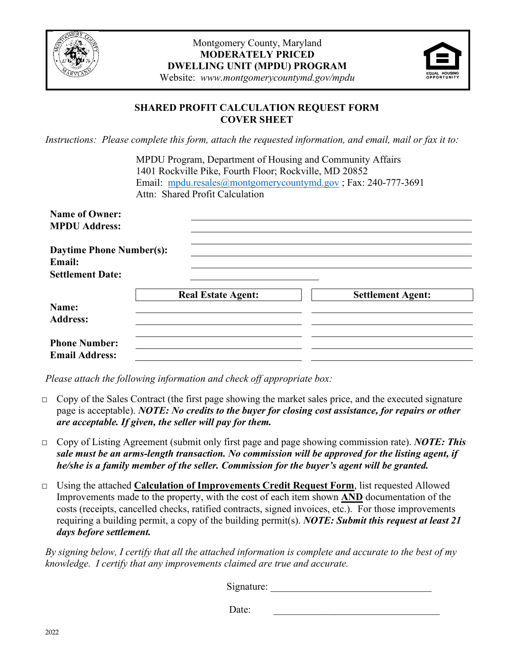



# **SHARED PROFIT CALCULATION REQUEST FORM COVER SHEET**

*Instructions: Please complete this form, attach the requested information, and email, mail or fax it to:*

| MPDU Program, Department of Housing and Community Affairs     |
|---------------------------------------------------------------|
| 1401 Rockville Pike, Fourth Floor; Rockville, MD 20852        |
| Email: mpdu.resales@montgomerycountymd.gov; Fax: 240-777-3691 |
| Attn: Shared Profit Calculation                               |

| <b>Name of Owner:</b><br><b>MPDU Address:</b>                        |                           |                          |
|----------------------------------------------------------------------|---------------------------|--------------------------|
| <b>Daytime Phone Number(s):</b><br>Email:<br><b>Settlement Date:</b> |                           |                          |
| Name:<br><b>Address:</b>                                             | <b>Real Estate Agent:</b> | <b>Settlement Agent:</b> |
| <b>Phone Number:</b><br><b>Email Address:</b>                        |                           |                          |

*Please attach the following information and check off appropriate box:*

- $\Box$  Copy of the Sales Contract (the first page showing the market sales price, and the executed signature page is acceptable). *NOTE: No credits to the buyer for closing cost assistance, for repairs or other are acceptable. If given, the seller will pay for them.*
- □ Copy of Listing Agreement (submit only first page and page showing commission rate). *NOTE: This sale must be an arms-length transaction. No commission will be approved for the listing agent, if he/she is a family member of the seller. Commission for the buyer's agent will be granted.*
- □ Using the attached **Calculation of Improvements Credit Request Form**, list requested Allowed Improvements made to the property, with the cost of each item shown **AND** documentation of the costs (receipts, cancelled checks, ratified contracts, signed invoices, etc.). For those improvements requiring a building permit, a copy of the building permit(s). *NOTE: Submit this request at least 21 days before settlement.*

*By signing below, I certify that all the attached information is complete and accurate to the best of my knowledge. I certify that any improvements claimed are true and accurate.*

Signature:

Date:  $\qquad \qquad$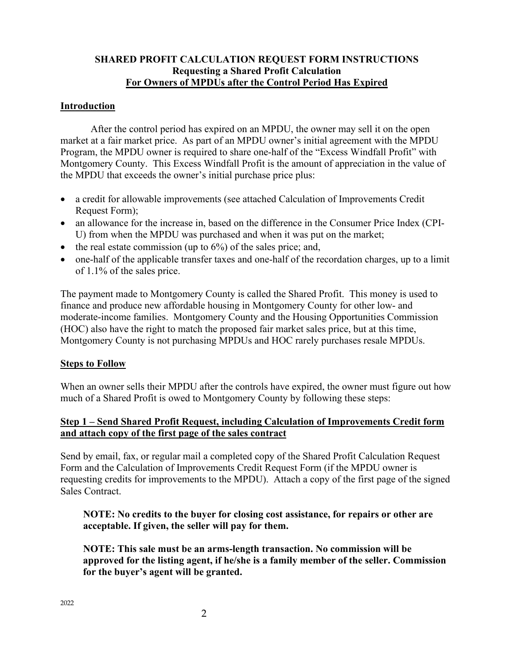### **SHARED PROFIT CALCULATION REQUEST FORM INSTRUCTIONS Requesting a Shared Profit Calculation For Owners of MPDUs after the Control Period Has Expired**

### **Introduction**

After the control period has expired on an MPDU, the owner may sell it on the open market at a fair market price. As part of an MPDU owner's initial agreement with the MPDU Program, the MPDU owner is required to share one-half of the "Excess Windfall Profit" with Montgomery County. This Excess Windfall Profit is the amount of appreciation in the value of the MPDU that exceeds the owner's initial purchase price plus:

- a credit for allowable improvements (see attached Calculation of Improvements Credit Request Form);
- an allowance for the increase in, based on the difference in the Consumer Price Index (CPI-U) from when the MPDU was purchased and when it was put on the market;
- the real estate commission (up to  $6\%$ ) of the sales price; and,
- one-half of the applicable transfer taxes and one-half of the recordation charges, up to a limit of 1.1% of the sales price.

The payment made to Montgomery County is called the Shared Profit. This money is used to finance and produce new affordable housing in Montgomery County for other low- and moderate-income families. Montgomery County and the Housing Opportunities Commission (HOC) also have the right to match the proposed fair market sales price, but at this time, Montgomery County is not purchasing MPDUs and HOC rarely purchases resale MPDUs.

#### **Steps to Follow**

When an owner sells their MPDU after the controls have expired, the owner must figure out how much of a Shared Profit is owed to Montgomery County by following these steps:

# **Step 1 – Send Shared Profit Request, including Calculation of Improvements Credit form and attach copy of the first page of the sales contract**

Send by email, fax, or regular mail a completed copy of the Shared Profit Calculation Request Form and the Calculation of Improvements Credit Request Form (if the MPDU owner is requesting credits for improvements to the MPDU). Attach a copy of the first page of the signed Sales Contract.

**NOTE: No credits to the buyer for closing cost assistance, for repairs or other are acceptable. If given, the seller will pay for them.**

**NOTE: This sale must be an arms-length transaction. No commission will be approved for the listing agent, if he/she is a family member of the seller. Commission for the buyer's agent will be granted.**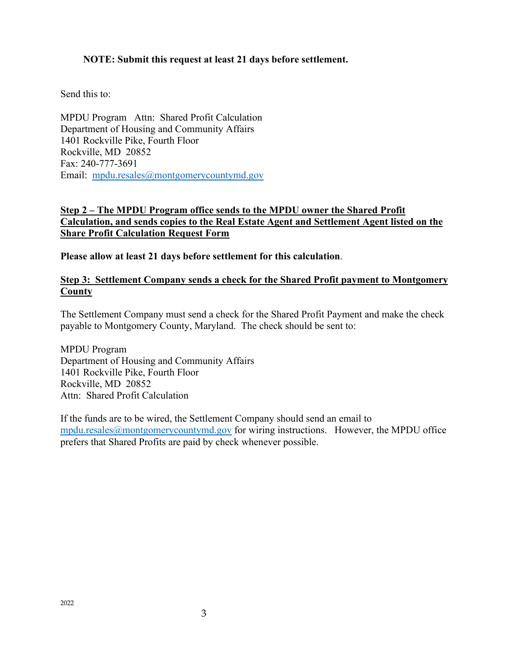### **NOTE: Submit this request at least 21 days before settlement.**

Send this to:

MPDU Program Attn: Shared Profit Calculation Department of Housing and Community Affairs 1401 Rockville Pike, Fourth Floor Rockville, MD 20852 Fax: 240-777-3691 Email: [mpdu.resales@montgomerycountymd.gov](mailto:mpdu.resales@montgomerycountymd.gov)

## **Step 2 – The MPDU Program office sends to the MPDU owner the Shared Profit Calculation, and sends copies to the Real Estate Agent and Settlement Agent listed on the Share Profit Calculation Request Form**

**Please allow at least 21 days before settlement for this calculation**.

### **Step 3: Settlement Company sends a check for the Shared Profit payment to Montgomery County**

The Settlement Company must send a check for the Shared Profit Payment and make the check payable to Montgomery County, Maryland. The check should be sent to:

MPDU Program Department of Housing and Community Affairs 1401 Rockville Pike, Fourth Floor Rockville, MD 20852 Attn: Shared Profit Calculation

If the funds are to be wired, the Settlement Company should send an email to [mpdu.resales@montgomerycountymd.gov](mailto:mpdu.resales@montgomerycountymd.gov) for wiring instructions. However, the MPDU office prefers that Shared Profits are paid by check whenever possible.